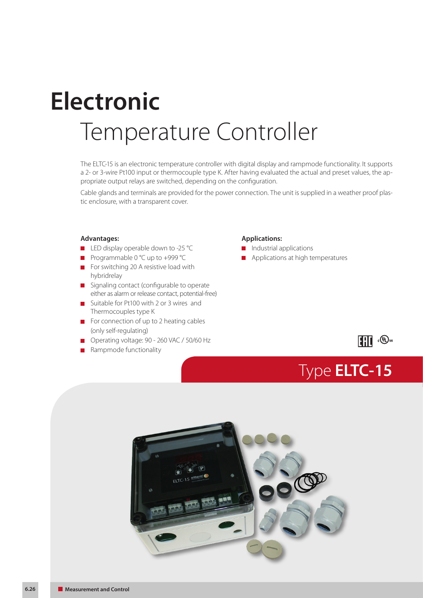# Temperature Controller **Electronic**

The ELTC-15 is an electronic temperature controller with digital display and rampmode functionality. It supports a 2- or 3-wire Pt100 input or thermocouple type K. After having evaluated the actual and preset values, the appropriate output relays are switched, depending on the configuration.

Cable glands and terminals are provided for the power connection. The unit is supplied in a weather proof plastic enclosure, with a transparent cover.

#### **Advantages:**

- LED display operable down to -25 °C
- Programmable 0 °C up to +999 °C
- For switching 20 A resistive load with hybridrelay
- Signaling contact (configurable to operate either as alarm or release contact, potential-free)
- Suitable for Pt100 with 2 or 3 wires and Thermocouples type K
- For connection of up to 2 heating cables (only self-regulating)
- Operating voltage: 90 260 VAC / 50/60 Hz
- Rampmode functionality

#### **Applications:**

- **Industrial applications**
- **Applications at high temperatures**

## **III CO**<sub>us</sub>

Type **ELTC-15**